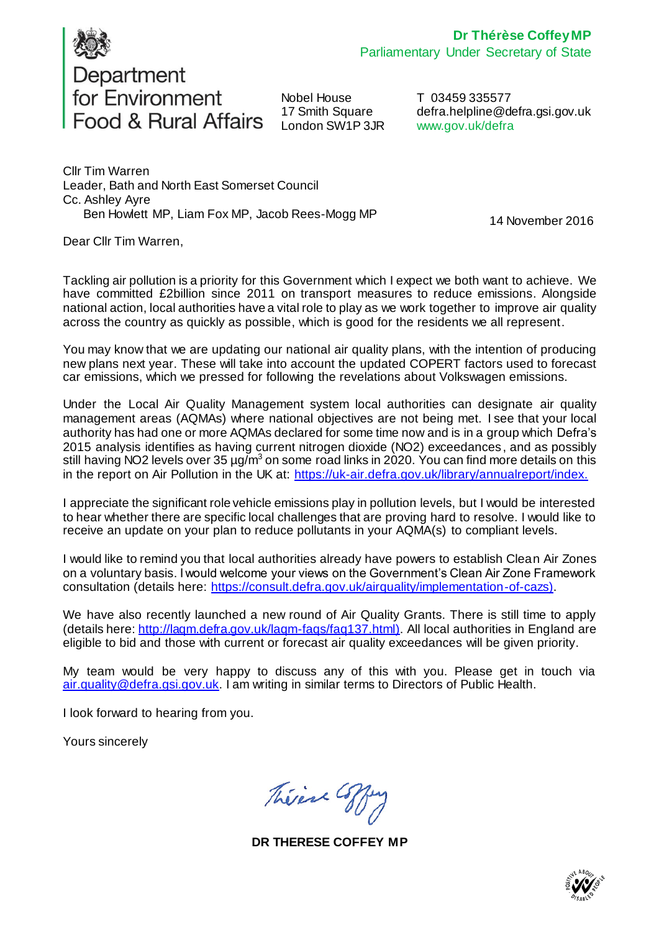

Department<br>for Environment Food & Rural Affairs

Nobel House 17 Smith Square London SW1P 3JR

T 03459 335577 defra.helpline@defra.gsi.gov.uk www.gov.uk/defra

Cllr Tim Warren Leader, Bath and North East Somerset Council Cc. Ashley Ayre Ben Howlett MP, Liam Fox MP, Jacob Rees-Mogg MP

14 November 2016

Dear Cllr Tim Warren,

Tackling air pollution is a priority for this Government which I expect we both want to achieve. We have committed £2billion since 2011 on transport measures to reduce emissions. Alongside national action, local authorities have a vital role to play as we work together to improve air quality across the country as quickly as possible, which is good for the residents we all represent.

You may know that we are updating our national air quality plans, with the intention of producing new plans next year. These will take into account the updated COPERT factors used to forecast car emissions, which we pressed for following the revelations about Volkswagen emissions.

Under the Local Air Quality Management system local authorities can designate air quality management areas (AQMAs) where national objectives are not being met. I see that your local authority has had one or more AQMAs declared for some time now and is in a group which Defra's 2015 analysis identifies as having current nitrogen dioxide (NO2) exceedances, and as possibly still having NO2 levels over 35  $\mu$ g/m<sup>3</sup> on some road links in 2020. You can find more details on this in the report on Air Pollution in the UK a[t: https://uk-air.defra.gov.uk/library/annualreport/ind](https://uk-air.defra.gov.uk/library/annualreport/index)ex.

I appreciate the significant role vehicle emissions play in pollution levels, but I would be interested to hear whether there are specific local challenges that are proving hard to resolve. I would like to receive an update on your plan to reduce pollutants in your AQMA(s) to compliant levels.

I would like to remind you that local authorities already have powers to establish Clean Air Zones on a voluntary basis. I would welcome your views on the Government's Clean Air Zone Framework consultation (details her[e: https://consult.defra.gov.uk/airquality/implementation-of-ca](https://consult.defra.gov.uk/airquality/implementation-of-cazs)zs).

We have also recently launched a new round of Air Quality Grants. There is still time to apply (details here: <http://laqm.defra.gov.uk/laqm-faqs/faq137.html>). All local authorities in England are eligible to bid and those with current or forecast air quality exceedances will be given priority.

My team would be very happy to discuss any of this with you. Please get in touch via [air.quality@defra.gsi.gov.uk](mailto:air.quality@defra.gsi.gov.uk). I am writing in similar terms to Directors of Public Health.

I look forward to hearing from you.

Yours sincerely

Théine Coffe

**DR THERESE COFFEY MP**